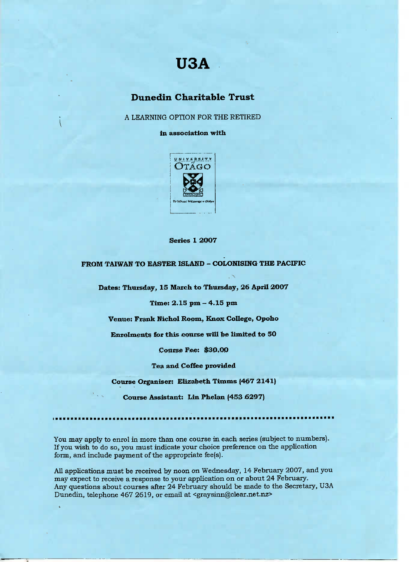# **USA**

## **Dunedin Charitable Trust**

A LEARNING OPTION FOR THE RETIRED

**in association with**



**Series 1 2OO7**

**FROM TAIWAN TO EASTER ISLAND - COLONISING THE PACIFIC**

**Dates: Thursday, 15 March to Thursday, 26 April 2OO7**

**Time: 2.15 pm - 4.15 pm**

**Venue: Frank Nichol Room, Knox College, Opoho**

**Enrolments for this course will be limited to \$0**

**Course Fee: \$30.OO**

**Tea and Coffee provided**

**Course Organiser: Elizabeth Timms (467 2141)**

**Course Assistant: Lin Phelan (453 6297)**

You may apply to enrol in more than one course in each series (subject to numbers). If you wish to do so, you must indicate your choice preference on the application form, and include payment of the appropriate fee(s).

All applications must be received by noon on Wednesday, 14 February 2007, and you may expect to receive a response to your application on or about 24 February. Any questions about courses after 24 February should be made to the Secretary, USA Dunedin, telephone 467 2619, or email at <graysinn@clear.net.nz>